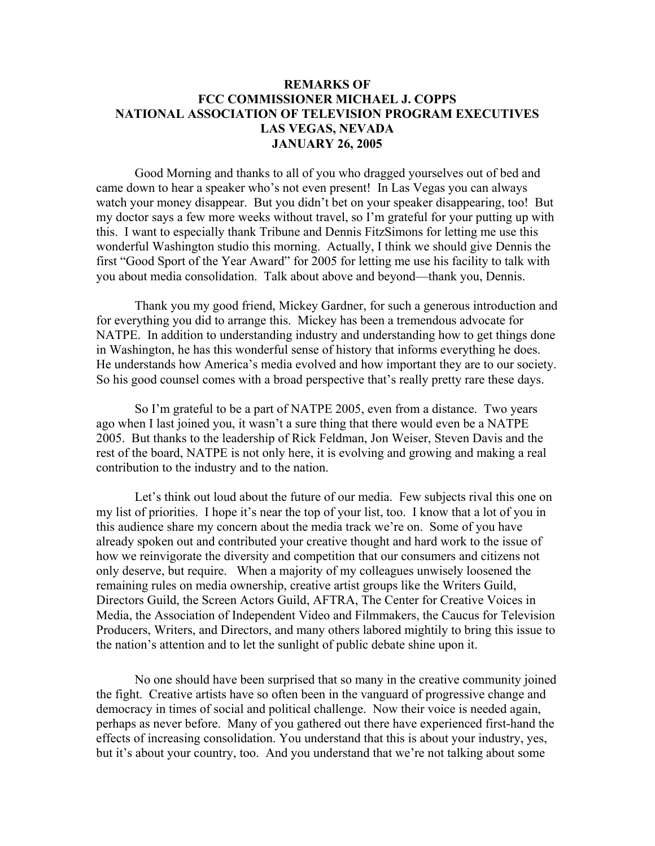## **REMARKS OF FCC COMMISSIONER MICHAEL J. COPPS NATIONAL ASSOCIATION OF TELEVISION PROGRAM EXECUTIVES LAS VEGAS, NEVADA JANUARY 26, 2005**

Good Morning and thanks to all of you who dragged yourselves out of bed and came down to hear a speaker who's not even present! In Las Vegas you can always watch your money disappear. But you didn't bet on your speaker disappearing, too! But my doctor says a few more weeks without travel, so I'm grateful for your putting up with this. I want to especially thank Tribune and Dennis FitzSimons for letting me use this wonderful Washington studio this morning. Actually, I think we should give Dennis the first "Good Sport of the Year Award" for 2005 for letting me use his facility to talk with you about media consolidation. Talk about above and beyond—thank you, Dennis.

Thank you my good friend, Mickey Gardner, for such a generous introduction and for everything you did to arrange this. Mickey has been a tremendous advocate for NATPE. In addition to understanding industry and understanding how to get things done in Washington, he has this wonderful sense of history that informs everything he does. He understands how America's media evolved and how important they are to our society. So his good counsel comes with a broad perspective that's really pretty rare these days.

So I'm grateful to be a part of NATPE 2005, even from a distance. Two years ago when I last joined you, it wasn't a sure thing that there would even be a NATPE 2005. But thanks to the leadership of Rick Feldman, Jon Weiser, Steven Davis and the rest of the board, NATPE is not only here, it is evolving and growing and making a real contribution to the industry and to the nation.

Let's think out loud about the future of our media. Few subjects rival this one on my list of priorities. I hope it's near the top of your list, too. I know that a lot of you in this audience share my concern about the media track we're on. Some of you have already spoken out and contributed your creative thought and hard work to the issue of how we reinvigorate the diversity and competition that our consumers and citizens not only deserve, but require. When a majority of my colleagues unwisely loosened the remaining rules on media ownership, creative artist groups like the Writers Guild, Directors Guild, the Screen Actors Guild, AFTRA, The Center for Creative Voices in Media, the Association of Independent Video and Filmmakers, the Caucus for Television Producers, Writers, and Directors, and many others labored mightily to bring this issue to the nation's attention and to let the sunlight of public debate shine upon it.

No one should have been surprised that so many in the creative community joined the fight. Creative artists have so often been in the vanguard of progressive change and democracy in times of social and political challenge. Now their voice is needed again, perhaps as never before. Many of you gathered out there have experienced first-hand the effects of increasing consolidation. You understand that this is about your industry, yes, but it's about your country, too. And you understand that we're not talking about some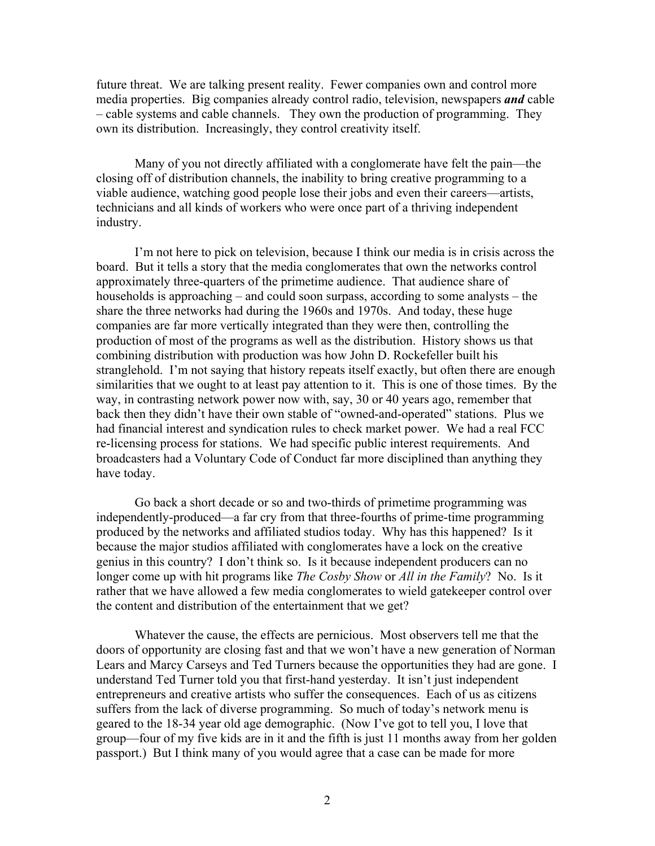future threat. We are talking present reality. Fewer companies own and control more media properties. Big companies already control radio, television, newspapers *and* cable – cable systems and cable channels. They own the production of programming. They own its distribution. Increasingly, they control creativity itself.

Many of you not directly affiliated with a conglomerate have felt the pain—the closing off of distribution channels, the inability to bring creative programming to a viable audience, watching good people lose their jobs and even their careers—artists, technicians and all kinds of workers who were once part of a thriving independent industry.

I'm not here to pick on television, because I think our media is in crisis across the board. But it tells a story that the media conglomerates that own the networks control approximately three-quarters of the primetime audience. That audience share of households is approaching – and could soon surpass, according to some analysts – the share the three networks had during the 1960s and 1970s. And today, these huge companies are far more vertically integrated than they were then, controlling the production of most of the programs as well as the distribution. History shows us that combining distribution with production was how John D. Rockefeller built his stranglehold. I'm not saying that history repeats itself exactly, but often there are enough similarities that we ought to at least pay attention to it. This is one of those times. By the way, in contrasting network power now with, say, 30 or 40 years ago, remember that back then they didn't have their own stable of "owned-and-operated" stations. Plus we had financial interest and syndication rules to check market power. We had a real FCC re-licensing process for stations. We had specific public interest requirements. And broadcasters had a Voluntary Code of Conduct far more disciplined than anything they have today.

Go back a short decade or so and two-thirds of primetime programming was independently-produced—a far cry from that three-fourths of prime-time programming produced by the networks and affiliated studios today. Why has this happened? Is it because the major studios affiliated with conglomerates have a lock on the creative genius in this country? I don't think so. Is it because independent producers can no longer come up with hit programs like *The Cosby Show* or *All in the Family*? No. Is it rather that we have allowed a few media conglomerates to wield gatekeeper control over the content and distribution of the entertainment that we get?

Whatever the cause, the effects are pernicious. Most observers tell me that the doors of opportunity are closing fast and that we won't have a new generation of Norman Lears and Marcy Carseys and Ted Turners because the opportunities they had are gone. I understand Ted Turner told you that first-hand yesterday. It isn't just independent entrepreneurs and creative artists who suffer the consequences. Each of us as citizens suffers from the lack of diverse programming. So much of today's network menu is geared to the 18-34 year old age demographic. (Now I've got to tell you, I love that group—four of my five kids are in it and the fifth is just 11 months away from her golden passport.) But I think many of you would agree that a case can be made for more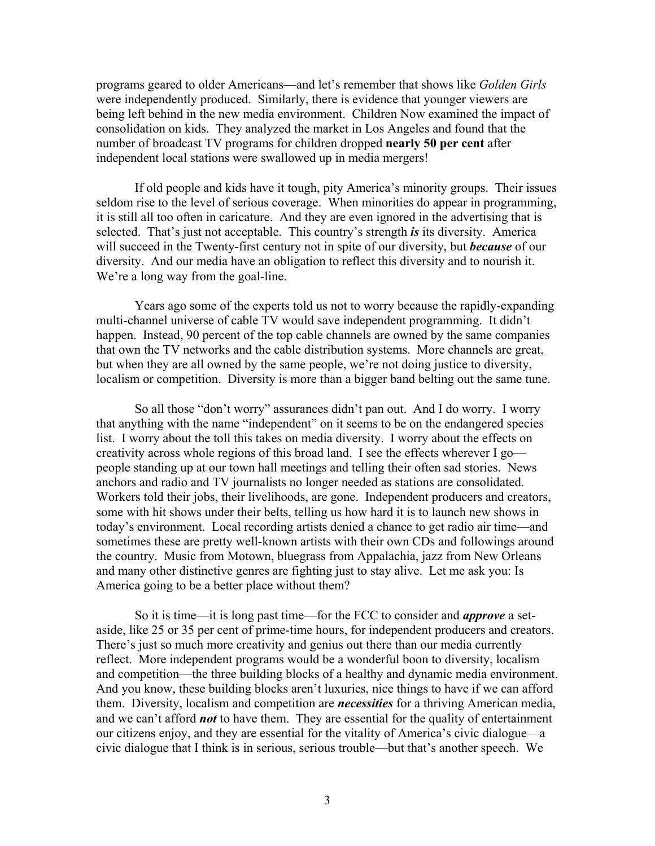programs geared to older Americans—and let's remember that shows like *Golden Girls* were independently produced. Similarly, there is evidence that younger viewers are being left behind in the new media environment. Children Now examined the impact of consolidation on kids. They analyzed the market in Los Angeles and found that the number of broadcast TV programs for children dropped **nearly 50 per cent** after independent local stations were swallowed up in media mergers!

If old people and kids have it tough, pity America's minority groups. Their issues seldom rise to the level of serious coverage. When minorities do appear in programming, it is still all too often in caricature. And they are even ignored in the advertising that is selected. That's just not acceptable. This country's strength *is* its diversity. America will succeed in the Twenty-first century not in spite of our diversity, but *because* of our diversity. And our media have an obligation to reflect this diversity and to nourish it. We're a long way from the goal-line.

Years ago some of the experts told us not to worry because the rapidly-expanding multi-channel universe of cable TV would save independent programming. It didn't happen. Instead, 90 percent of the top cable channels are owned by the same companies that own the TV networks and the cable distribution systems. More channels are great, but when they are all owned by the same people, we're not doing justice to diversity, localism or competition. Diversity is more than a bigger band belting out the same tune.

So all those "don't worry" assurances didn't pan out. And I do worry. I worry that anything with the name "independent" on it seems to be on the endangered species list. I worry about the toll this takes on media diversity. I worry about the effects on creativity across whole regions of this broad land. I see the effects wherever I go people standing up at our town hall meetings and telling their often sad stories. News anchors and radio and TV journalists no longer needed as stations are consolidated. Workers told their jobs, their livelihoods, are gone. Independent producers and creators, some with hit shows under their belts, telling us how hard it is to launch new shows in today's environment. Local recording artists denied a chance to get radio air time—and sometimes these are pretty well-known artists with their own CDs and followings around the country. Music from Motown, bluegrass from Appalachia, jazz from New Orleans and many other distinctive genres are fighting just to stay alive. Let me ask you: Is America going to be a better place without them?

So it is time—it is long past time—for the FCC to consider and *approve* a setaside, like 25 or 35 per cent of prime-time hours, for independent producers and creators. There's just so much more creativity and genius out there than our media currently reflect. More independent programs would be a wonderful boon to diversity, localism and competition—the three building blocks of a healthy and dynamic media environment. And you know, these building blocks aren't luxuries, nice things to have if we can afford them. Diversity, localism and competition are *necessities* for a thriving American media, and we can't afford *not* to have them. They are essential for the quality of entertainment our citizens enjoy, and they are essential for the vitality of America's civic dialogue—a civic dialogue that I think is in serious, serious trouble—but that's another speech. We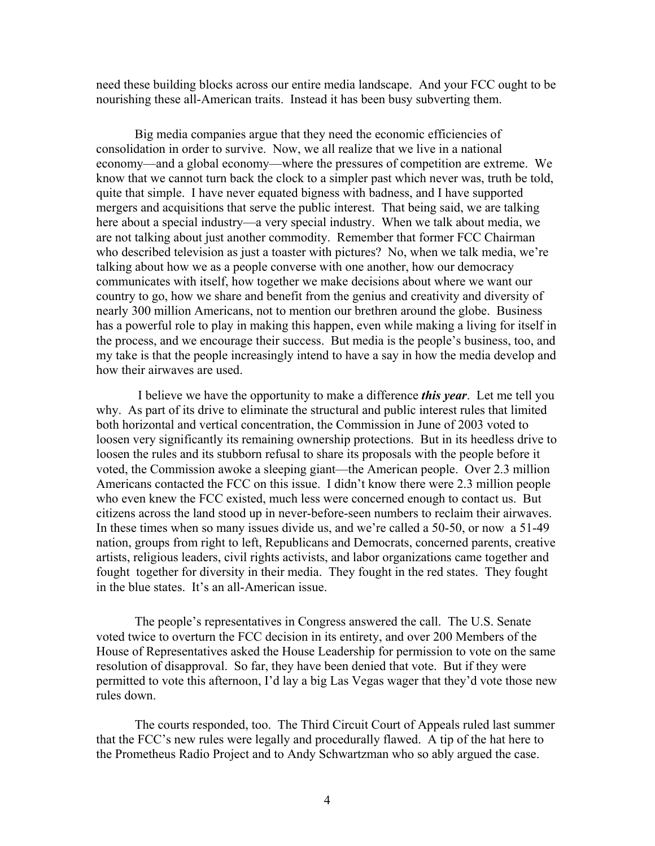need these building blocks across our entire media landscape. And your FCC ought to be nourishing these all-American traits. Instead it has been busy subverting them.

Big media companies argue that they need the economic efficiencies of consolidation in order to survive. Now, we all realize that we live in a national economy—and a global economy—where the pressures of competition are extreme. We know that we cannot turn back the clock to a simpler past which never was, truth be told, quite that simple. I have never equated bigness with badness, and I have supported mergers and acquisitions that serve the public interest. That being said, we are talking here about a special industry—a very special industry. When we talk about media, we are not talking about just another commodity. Remember that former FCC Chairman who described television as just a toaster with pictures? No, when we talk media, we're talking about how we as a people converse with one another, how our democracy communicates with itself, how together we make decisions about where we want our country to go, how we share and benefit from the genius and creativity and diversity of nearly 300 million Americans, not to mention our brethren around the globe. Business has a powerful role to play in making this happen, even while making a living for itself in the process, and we encourage their success. But media is the people's business, too, and my take is that the people increasingly intend to have a say in how the media develop and how their airwaves are used.

 I believe we have the opportunity to make a difference *this year*. Let me tell you why. As part of its drive to eliminate the structural and public interest rules that limited both horizontal and vertical concentration, the Commission in June of 2003 voted to loosen very significantly its remaining ownership protections. But in its heedless drive to loosen the rules and its stubborn refusal to share its proposals with the people before it voted, the Commission awoke a sleeping giant—the American people. Over 2.3 million Americans contacted the FCC on this issue. I didn't know there were 2.3 million people who even knew the FCC existed, much less were concerned enough to contact us. But citizens across the land stood up in never-before-seen numbers to reclaim their airwaves. In these times when so many issues divide us, and we're called a 50-50, or now a 51-49 nation, groups from right to left, Republicans and Democrats, concerned parents, creative artists, religious leaders, civil rights activists, and labor organizations came together and fought together for diversity in their media. They fought in the red states. They fought in the blue states. It's an all-American issue.

The people's representatives in Congress answered the call. The U.S. Senate voted twice to overturn the FCC decision in its entirety, and over 200 Members of the House of Representatives asked the House Leadership for permission to vote on the same resolution of disapproval. So far, they have been denied that vote. But if they were permitted to vote this afternoon, I'd lay a big Las Vegas wager that they'd vote those new rules down.

The courts responded, too. The Third Circuit Court of Appeals ruled last summer that the FCC's new rules were legally and procedurally flawed. A tip of the hat here to the Prometheus Radio Project and to Andy Schwartzman who so ably argued the case.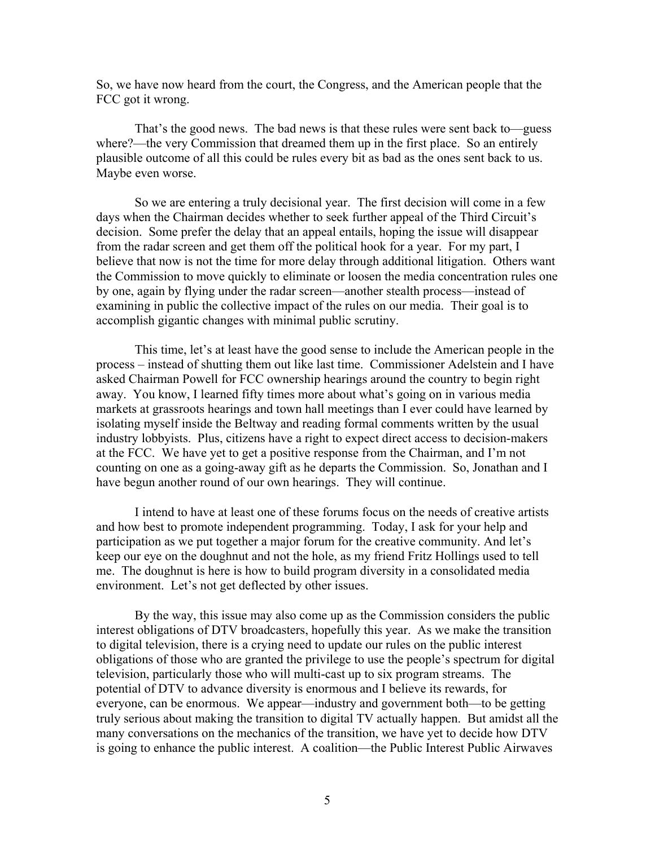So, we have now heard from the court, the Congress, and the American people that the FCC got it wrong.

That's the good news. The bad news is that these rules were sent back to—guess where?—the very Commission that dreamed them up in the first place. So an entirely plausible outcome of all this could be rules every bit as bad as the ones sent back to us. Maybe even worse.

So we are entering a truly decisional year. The first decision will come in a few days when the Chairman decides whether to seek further appeal of the Third Circuit's decision. Some prefer the delay that an appeal entails, hoping the issue will disappear from the radar screen and get them off the political hook for a year. For my part, I believe that now is not the time for more delay through additional litigation. Others want the Commission to move quickly to eliminate or loosen the media concentration rules one by one, again by flying under the radar screen—another stealth process—instead of examining in public the collective impact of the rules on our media. Their goal is to accomplish gigantic changes with minimal public scrutiny.

This time, let's at least have the good sense to include the American people in the process – instead of shutting them out like last time. Commissioner Adelstein and I have asked Chairman Powell for FCC ownership hearings around the country to begin right away. You know, I learned fifty times more about what's going on in various media markets at grassroots hearings and town hall meetings than I ever could have learned by isolating myself inside the Beltway and reading formal comments written by the usual industry lobbyists. Plus, citizens have a right to expect direct access to decision-makers at the FCC. We have yet to get a positive response from the Chairman, and I'm not counting on one as a going-away gift as he departs the Commission. So, Jonathan and I have begun another round of our own hearings. They will continue.

I intend to have at least one of these forums focus on the needs of creative artists and how best to promote independent programming. Today, I ask for your help and participation as we put together a major forum for the creative community. And let's keep our eye on the doughnut and not the hole, as my friend Fritz Hollings used to tell me. The doughnut is here is how to build program diversity in a consolidated media environment. Let's not get deflected by other issues.

By the way, this issue may also come up as the Commission considers the public interest obligations of DTV broadcasters, hopefully this year. As we make the transition to digital television, there is a crying need to update our rules on the public interest obligations of those who are granted the privilege to use the people's spectrum for digital television, particularly those who will multi-cast up to six program streams. The potential of DTV to advance diversity is enormous and I believe its rewards, for everyone, can be enormous. We appear—industry and government both—to be getting truly serious about making the transition to digital TV actually happen. But amidst all the many conversations on the mechanics of the transition, we have yet to decide how DTV is going to enhance the public interest. A coalition—the Public Interest Public Airwaves